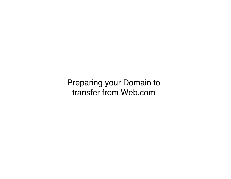Preparing your Domain to transfer from Web.com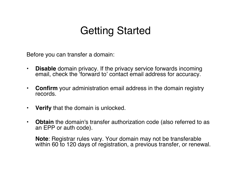# Getting Started

Before you can transfer a domain:

- **Disable** domain privacy. If the privacy service forwards incoming email, check the ʻforward to' contact email address for accuracy.
- **Confirm** your administration email address in the domain registry records.
- **Verify** that the domain is unlocked.
- **Obtain** the domain's transfer authorization code (also referred to as an EPP or auth code).

**Note**: Registrar rules vary. Your domain may not be transferable within 60 to 120 days of registration, a previous transfer, or renewal.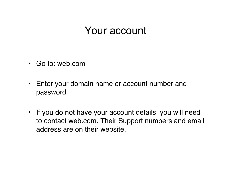## Your account

- Go to: web.com
- Enter your domain name or account number and password.
- If you do not have your account details, you will need to contact web.com. Their Support numbers and email address are on their website.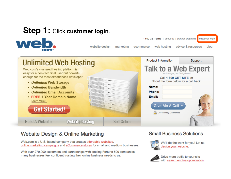## **Step 1:** Click **customer login**.



1800 GET SITE | about us | partner programs customer login website design marketing web hosting advice & resources blog ecommerce

| Web.com's clustered hosting platform is<br>easy for a non-technical user but powerful<br>enough for the most experienced developer.<br>• Unlimited Web Storage<br>• Unlimited Bandwidth<br>• Unlimited Email Accounts<br>• FREE 1 Year Domain Name<br>Learn More »<br><b>Get Started!</b> | <b>Unlimited Web Hosting</b> |             | <b>Product Information</b><br>Support<br><b>Talk to a Web Expert</b><br>No Charges, No Obligations!<br>Call 1 800 GET SITE or<br>fill out the form below for a call back!<br>Name:<br>Phone:<br>Email:<br>Give Me A Call »<br>Our Privacy Guarantee |
|-------------------------------------------------------------------------------------------------------------------------------------------------------------------------------------------------------------------------------------------------------------------------------------------|------------------------------|-------------|-----------------------------------------------------------------------------------------------------------------------------------------------------------------------------------------------------------------------------------------------------|
| <b>Build A Website</b>                                                                                                                                                                                                                                                                    | <b>Website Hosting</b>       | Sell Online |                                                                                                                                                                                                                                                     |

#### **Website Design & Online Marketing**

Web.com is a U.S.-based company that creates affordable websites, online marketing campaigns and eCommerce stores for small and medium businesses.

With over 270,000 customers and partnerships with leading Fortune 500 companies, many businesses feel confident trusting their online business needs to us.

#### **Small Business Solutions**



We'll do the work for you! Let us design your website.



Drive more traffic to your site with search engine optimization.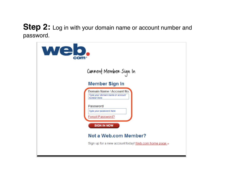#### **Step 2:** Log in with your domain name or account number and password.

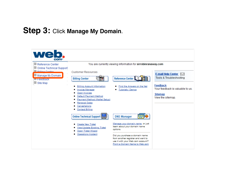### **Step 3:** Click **Manage My Domain**.

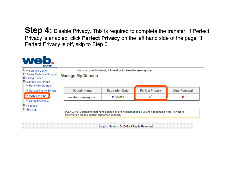**Step 4:** Disable Privacy. This is required to complete the transfer. If Perfect Privacy is enabled, click **Perfect Privacy** on the left hand side of the page. If Perfect Privacy is off, skip to Step 6.

| <b>El Reference Center</b><br>田 Online Technical Support<br><b>E</b> Billing Center<br>□ Manage My Domain<br>Renew My Domain<br>Manage Name Servers | You are currently viewing information for sirrobinranaway.com<br><b>Manage My Domain</b>                                                        |                     |                        |                        |                     |
|-----------------------------------------------------------------------------------------------------------------------------------------------------|-------------------------------------------------------------------------------------------------------------------------------------------------|---------------------|------------------------|------------------------|---------------------|
|                                                                                                                                                     |                                                                                                                                                 | <b>Domain Name</b>  | <b>Expiration Date</b> | <b>Perfect Privacy</b> | <b>Auto-Renewal</b> |
| Perfect Privacy<br>Domain Contact                                                                                                                   |                                                                                                                                                 | sirrobinranaway.com | 11/6/2010              |                        | x                   |
| <b>E</b> Feedback<br><b>El Site Map</b>                                                                                                             | PLEASE NOTE: Domains that have expired or are not managed by us are not editable here. For more<br>information please contact customer support. |                     |                        |                        |                     |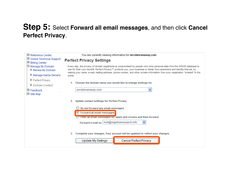#### **Step 5:** Select **Forward all email messages**, and then click **Cancel Perfect Privacy**.

| 凹 Reference Center                             | You are currently viewing information for sirrobinranaway.com                                                                                                                                                                                                                                                                                                                                     |  |
|------------------------------------------------|---------------------------------------------------------------------------------------------------------------------------------------------------------------------------------------------------------------------------------------------------------------------------------------------------------------------------------------------------------------------------------------------------|--|
| 日 Online Technical Support<br>田 Billing Center | <b>Perfect Privacy Settings</b>                                                                                                                                                                                                                                                                                                                                                                   |  |
| □ Manage My Domain<br>Renew My Domain          | Every day, the privacy of domain registrants is compromised by people who mine personal data from the WHOIS database to<br>use for their own benefit. Perfect Privacy™ protects you, your business or family from spammers and identity thieves, by<br>making your name, e-mail, mailing address, phone number, and other private information from your registration "unlisted" to the<br>public. |  |
| Manage Name Servers                            |                                                                                                                                                                                                                                                                                                                                                                                                   |  |
| P Perfect Privacy                              |                                                                                                                                                                                                                                                                                                                                                                                                   |  |
| Domain Contact                                 | Choose the domain name you would like to change settings for<br>1.                                                                                                                                                                                                                                                                                                                                |  |
| $\boxplus$ Feedback<br>□ Site Map              | sirrobinranaway.com<br>▿                                                                                                                                                                                                                                                                                                                                                                          |  |
|                                                | 2.<br><b>Update contact settings for Perfect Privacy</b>                                                                                                                                                                                                                                                                                                                                          |  |
|                                                | Do not forward any email messages                                                                                                                                                                                                                                                                                                                                                                 |  |
|                                                | ⊙ Forward all email messages                                                                                                                                                                                                                                                                                                                                                                      |  |
|                                                | $\bigcup$ Filter all email messages for spam and viruses and then forward                                                                                                                                                                                                                                                                                                                         |  |
|                                                | Forward e-mail to:   mail@registrarresearch.info                                                                                                                                                                                                                                                                                                                                                  |  |
|                                                |                                                                                                                                                                                                                                                                                                                                                                                                   |  |
|                                                | Complete your changes. Your account will be updated to reflect your changes.<br>3.                                                                                                                                                                                                                                                                                                                |  |
|                                                | <b>Cancel Perfect Privacy</b><br><b>Update My Settings</b>                                                                                                                                                                                                                                                                                                                                        |  |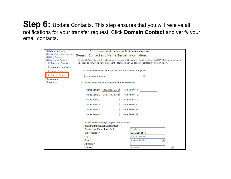#### **Step 6:** Update Contacts. This step ensures that you will receive all notifications for your transfer request. Click **Domain Contact** and verify your email contacts.

| 田 Reference Center                             | You are currently viewing information for sirrobinranaway.com                                                                                                                                                  |  |  |
|------------------------------------------------|----------------------------------------------------------------------------------------------------------------------------------------------------------------------------------------------------------------|--|--|
| 田 Online Technical Support<br>田 Billing Center | <b>Domain Contact and Name Server Information</b>                                                                                                                                                              |  |  |
| El Manage My Domain<br>Renew My Domain         | Contact information for domain names is published to a public directory called "WHOIS". This information is<br>required and must be periodically verified for accuracy. Update your contact information below. |  |  |
| Manage Name Servers                            |                                                                                                                                                                                                                |  |  |
| <b>Perfect Privacy</b>                         | 1. Choose the domain name you would like to change settings for                                                                                                                                                |  |  |
| Domain Contact                                 | Ÿ<br>sirrobinranaway.com                                                                                                                                                                                       |  |  |
| $E$ Feedback<br><b>□</b> Site Map              | Update name server settings for your domain name<br>2.                                                                                                                                                         |  |  |
|                                                | Name Server 1: A.NS.INTERLAND<br>Name Server 7:                                                                                                                                                                |  |  |
|                                                | <b>B.NS.INTERLAND</b><br>Name Server 2:<br>Name Server 8:                                                                                                                                                      |  |  |
|                                                | Name Server 3:<br>Name Server 9:                                                                                                                                                                               |  |  |
|                                                | Name Server 4:<br>Name Server 10:                                                                                                                                                                              |  |  |
|                                                | Name Server 5:<br>Name Server 11:                                                                                                                                                                              |  |  |
|                                                | Name Server 6:<br>Name Server 12:                                                                                                                                                                              |  |  |
|                                                | Update contact settings for your domain name<br>3.                                                                                                                                                             |  |  |
|                                                | <b>Registrant/Organizational Contact</b>                                                                                                                                                                       |  |  |
|                                                | Organization Name (Last, First)*<br>Smith Inc.                                                                                                                                                                 |  |  |
|                                                | 111 Avenue Rd.<br>Street Address *                                                                                                                                                                             |  |  |
|                                                | Toronto, Ontario<br>$City *$                                                                                                                                                                                   |  |  |
|                                                | State *<br>(International)                                                                                                                                                                                     |  |  |
|                                                | ZIP Code *                                                                                                                                                                                                     |  |  |
|                                                | Country *<br>Canada                                                                                                                                                                                            |  |  |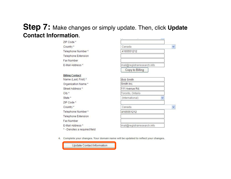#### **Step 7:** Make changes or simply update. Then, click **Update Contact Information**.**Little** the contract of the contract of the contract of **College**

| ZIP Code*                    |                             |   |
|------------------------------|-----------------------------|---|
| Country*                     | Canada                      | × |
| Telephone Number*            | 4165551212                  |   |
| <b>Telephone Extension</b>   |                             |   |
| Fax Number                   |                             |   |
| E-Mail Address *             | mail@registrarresearch.info |   |
|                              | Copy to Billing             |   |
| <b>Billing Contact</b>       |                             |   |
| Name (Last, First)*          | <b>Bob Smith</b>            |   |
| Organization Name*           | Smith Inc.                  |   |
| Street Address*              | 111 Avenue Rd.              |   |
| City *                       | Toronto, Ontario            |   |
| State *                      | (International)             |   |
| ZIP Code*                    |                             |   |
| Country *                    | Canada                      | Y |
| Telephone Number*            | 4165551212                  |   |
| Telephone Extension          |                             |   |
| Fax Number                   |                             |   |
| E-Mail Address *             | mail@registrarresearch.info |   |
| * - Denotes a required field |                             |   |

4. Complete your changes. Your domain name will be updated to reflect your changes.

Update Contact Information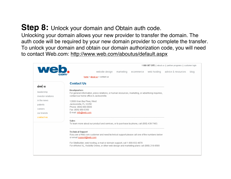### **Step 8:** Unlock your domain and Obtain auth code.

Unlocking your domain allows your new provider to transfer the domain. The auth code will be required by your new domain provider to complete the transfer. To unlock your domain and obtain our domain authorization code, you will need to contact Web.com: http://www.web.com/aboutus/default.aspx

| web.               | 1 800 GET SITE   about us   partner programs   customer login                                                                                                                 |
|--------------------|-------------------------------------------------------------------------------------------------------------------------------------------------------------------------------|
|                    | website design<br>marketing<br>ecommerce web hosting advice & resources<br>blog                                                                                               |
|                    | home $\geq$ about us $\geq$ contact us                                                                                                                                        |
| about us           | <b>Contact Us</b>                                                                                                                                                             |
|                    | Headquarters                                                                                                                                                                  |
| leadership         | For general information, press relations, or human resources, marketing, or advertising inquiries,                                                                            |
| investor relations | contact our home office in Jacksonville.                                                                                                                                      |
| in the news        | 12808 Gran Bay Pkwy, West                                                                                                                                                     |
| patents            | Jacksonville, FL 32258                                                                                                                                                        |
| careers            | Phone: (904) 680-6600<br>Fax: (904) 880-0350                                                                                                                                  |
| our brands         | E-mail: info@web.com                                                                                                                                                          |
| contact us         |                                                                                                                                                                               |
|                    | Sales<br>To learn more about our product and services, or to purchase by phone, call (800) 438-7483.                                                                          |
|                    | <b>Technical Support</b><br>If you are a Web.com customer and need technical support please call one of the numbers below.<br>or email support@web.com:                       |
|                    | For SiteBuilder, web hosting, e-mail or domain support, call 1-800-932-4678<br>For eWorks! XL, Visibility Online, or other web design and marketing plans call (888) 218-8569 |
|                    |                                                                                                                                                                               |